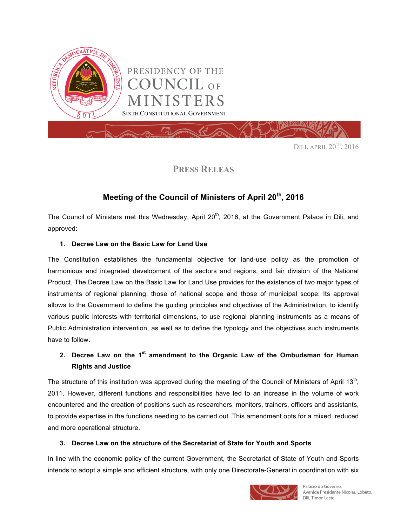

DILI, APRIL 20TH, 2016

# **PRESS RELEAS**

# **Meeting of the Council of Ministers of April 20th, 2016**

The Council of Ministers met this Wednesday, April 20<sup>th</sup>, 2016, at the Government Palace in Dili, and approved:

# **1. Decree Law on the Basic Law for Land Use**

The Constitution establishes the fundamental objective for land-use policy as the promotion of harmonious and integrated development of the sectors and regions, and fair division of the National Product. The Decree Law on the Basic Law for Land Use provides for the existence of two major types of instruments of regional planning: those of national scope and those of municipal scope. Its approval allows to the Government to define the guiding principles and objectives of the Administration, to identify various public interests with territorial dimensions, to use regional planning instruments as a means of Public Administration intervention, as well as to define the typology and the objectives such instruments have to follow.

# **2. Decree Law on the 1st amendment to the Organic Law of the Ombudsman for Human Rights and Justice**

The structure of this institution was approved during the meeting of the Council of Ministers of April 13<sup>th</sup>, 2011. However, different functions and responsibilities have led to an increase in the volume of work encountered and the creation of positions such as researchers, monitors, trainers, officers and assistants, to provide expertise in the functions needing to be carried out..This amendment opts for a mixed, reduced and more operational structure.

#### **3. Decree Law on the structure of the Secretariat of State for Youth and Sports**

In line with the economic policy of the current Government, the Secretariat of State of Youth and Sports intends to adopt a simple and efficient structure, with only one Directorate-General in coordination with six



Palácio do Governo. Avenida Presidente Nicolau Lobato, Dili, Timor-Leste